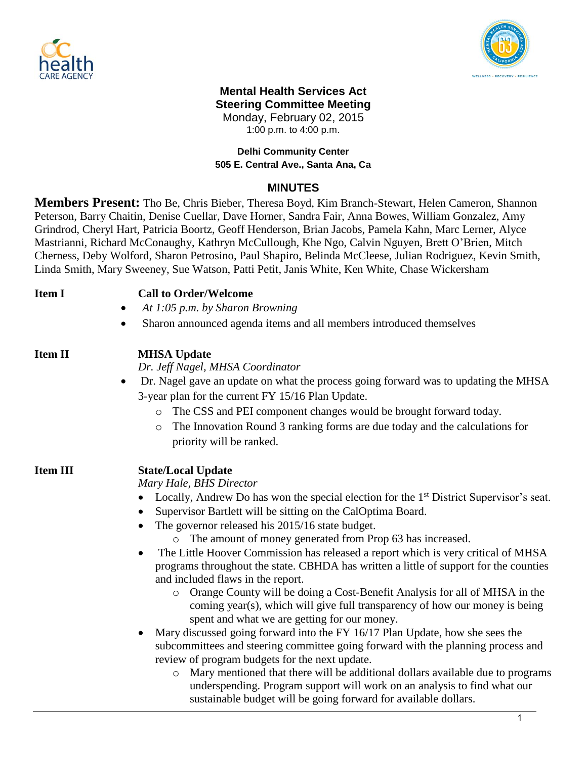



# **Mental Health Services Act Steering Committee Meeting** Monday, February 02, 2015

1:00 p.m. to 4:00 p.m.

#### **Delhi Community Center 505 E. Central Ave., Santa Ana, Ca**

## **MINUTES**

**Members Present:** Tho Be, Chris Bieber, Theresa Boyd, Kim Branch-Stewart, Helen Cameron, Shannon Peterson, Barry Chaitin, Denise Cuellar, Dave Horner, Sandra Fair, Anna Bowes, William Gonzalez, Amy Grindrod, Cheryl Hart, Patricia Boortz, Geoff Henderson, Brian Jacobs, Pamela Kahn, Marc Lerner, Alyce Mastrianni, Richard McConaughy, Kathryn McCullough, Khe Ngo, Calvin Nguyen, Brett O'Brien, Mitch Cherness, Deby Wolford, Sharon Petrosino, Paul Shapiro, Belinda McCleese, Julian Rodriguez, Kevin Smith, Linda Smith, Mary Sweeney, Sue Watson, Patti Petit, Janis White, Ken White, Chase Wickersham

| <b>Item I</b>   | <b>Call to Order/Welcome</b><br>At 1:05 p.m. by Sharon Browning<br>$\bullet$                                                                                                                                                                                                                                                                                                                                                                                                                                                                                                                                                                                                                                                                                                                                                                                                                                                                                                                                                                                                                                                                                                           |  |
|-----------------|----------------------------------------------------------------------------------------------------------------------------------------------------------------------------------------------------------------------------------------------------------------------------------------------------------------------------------------------------------------------------------------------------------------------------------------------------------------------------------------------------------------------------------------------------------------------------------------------------------------------------------------------------------------------------------------------------------------------------------------------------------------------------------------------------------------------------------------------------------------------------------------------------------------------------------------------------------------------------------------------------------------------------------------------------------------------------------------------------------------------------------------------------------------------------------------|--|
|                 | Sharon announced agenda items and all members introduced themselves                                                                                                                                                                                                                                                                                                                                                                                                                                                                                                                                                                                                                                                                                                                                                                                                                                                                                                                                                                                                                                                                                                                    |  |
| <b>Item II</b>  | <b>MHSA Update</b><br>Dr. Jeff Nagel, MHSA Coordinator<br>Dr. Nagel gave an update on what the process going forward was to updating the MHSA<br>$\bullet$<br>3-year plan for the current FY 15/16 Plan Update.<br>The CSS and PEI component changes would be brought forward today.<br>$\circ$<br>The Innovation Round 3 ranking forms are due today and the calculations for<br>$\circ$<br>priority will be ranked.                                                                                                                                                                                                                                                                                                                                                                                                                                                                                                                                                                                                                                                                                                                                                                  |  |
| <b>Item III</b> | <b>State/Local Update</b><br>Mary Hale, BHS Director<br>Locally, Andrew Do has won the special election for the 1 <sup>st</sup> District Supervisor's seat.<br>Supervisor Bartlett will be sitting on the CalOptima Board.<br>The governor released his 2015/16 state budget.<br>o The amount of money generated from Prop 63 has increased.<br>The Little Hoover Commission has released a report which is very critical of MHSA<br>programs throughout the state. CBHDA has written a little of support for the counties<br>and included flaws in the report.<br>Orange County will be doing a Cost-Benefit Analysis for all of MHSA in the<br>$\circ$<br>coming year(s), which will give full transparency of how our money is being<br>spent and what we are getting for our money.<br>Mary discussed going forward into the FY 16/17 Plan Update, how she sees the<br>subcommittees and steering committee going forward with the planning process and<br>review of program budgets for the next update.<br>Mary mentioned that there will be additional dollars available due to programs<br>$\circ$<br>underspending. Program support will work on an analysis to find what our |  |

sustainable budget will be going forward for available dollars.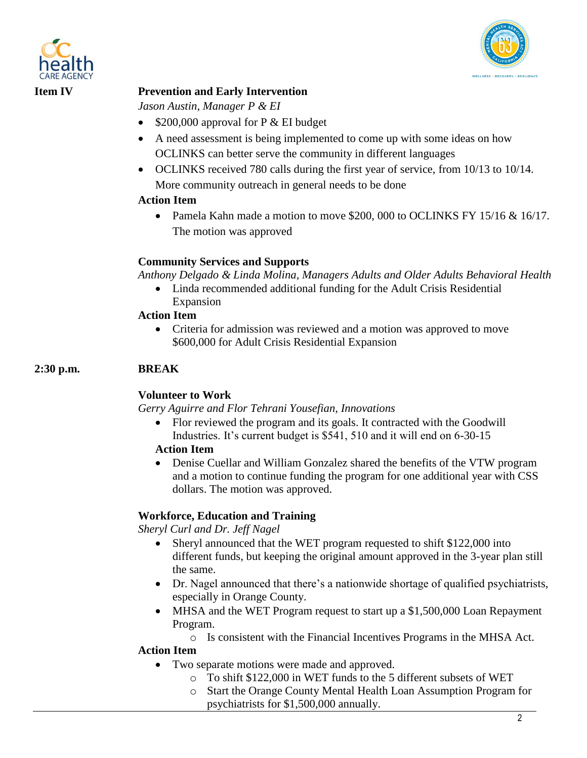



## **Item IV Prevention and Early Intervention**

*Jason Austin, Manager P & EI*

- $\bullet$  \$200,000 approval for P & EI budget
- A need assessment is being implemented to come up with some ideas on how OCLINKS can better serve the community in different languages
- OCLINKS received 780 calls during the first year of service, from 10/13 to 10/14. More community outreach in general needs to be done

#### **Action Item**

• Pamela Kahn made a motion to move \$200, 000 to OCLINKS FY 15/16 & 16/17. The motion was approved

### **Community Services and Supports**

*Anthony Delgado & Linda Molina, Managers Adults and Older Adults Behavioral Health*

 Linda recommended additional funding for the Adult Crisis Residential Expansion

#### **Action Item**

• Criteria for admission was reviewed and a motion was approved to move \$600,000 for Adult Crisis Residential Expansion

### **2:30 p.m. BREAK**

### **Volunteer to Work**

*Gerry Aguirre and Flor Tehrani Yousefian, Innovations*

 Flor reviewed the program and its goals. It contracted with the Goodwill Industries. It's current budget is \$541, 510 and it will end on 6-30-15

### **Action Item**

 Denise Cuellar and William Gonzalez shared the benefits of the VTW program and a motion to continue funding the program for one additional year with CSS dollars. The motion was approved.

### **Workforce, Education and Training**

*Sheryl Curl and Dr. Jeff Nagel*

- Sheryl announced that the WET program requested to shift \$122,000 into different funds, but keeping the original amount approved in the 3-year plan still the same.
- Dr. Nagel announced that there's a nationwide shortage of qualified psychiatrists, especially in Orange County.
- MHSA and the WET Program request to start up a \$1,500,000 Loan Repayment Program.
	- o Is consistent with the Financial Incentives Programs in the MHSA Act.

### **Action Item**

- Two separate motions were made and approved.
	- o To shift \$122,000 in WET funds to the 5 different subsets of WET
	- o Start the Orange County Mental Health Loan Assumption Program for psychiatrists for \$1,500,000 annually.